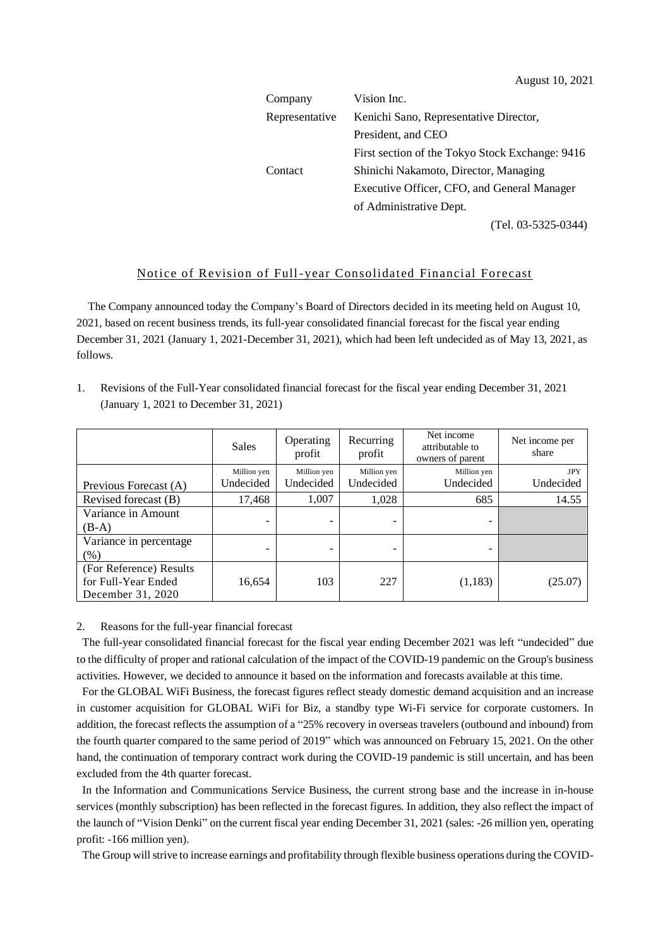| Company        | Vision Inc.                                     |  |  |
|----------------|-------------------------------------------------|--|--|
| Representative | Kenichi Sano, Representative Director,          |  |  |
|                | President, and CEO                              |  |  |
|                | First section of the Tokyo Stock Exchange: 9416 |  |  |
| Contact        | Shinichi Nakamoto, Director, Managing           |  |  |
|                | Executive Officer, CFO, and General Manager     |  |  |
|                | of Administrative Dept.                         |  |  |
|                | (Tel. 03-5325-0344)                             |  |  |

## Notice of Revision of Full-year Consolidated Financial Forecast

The Company announced today the Company's Board of Directors decided in its meeting held on August 10, 2021, based on recent business trends, its full-year consolidated financial forecast for the fiscal year ending December 31, 2021 (January 1, 2021-December 31, 2021), which had been left undecided as of May 13, 2021, as follows.

1. Revisions of the Full-Year consolidated financial forecast for the fiscal year ending December 31, 2021 (January 1, 2021 to December 31, 2021)

|                         | <b>Sales</b> | Operating<br>profit | Recurring<br>profit | Net income<br>attributable to<br>owners of parent | Net income per<br>share |
|-------------------------|--------------|---------------------|---------------------|---------------------------------------------------|-------------------------|
|                         | Million yen  | Million yen         | Million yen         | Million yen                                       | <b>JPY</b>              |
| Previous Forecast (A)   | Undecided    | Undecided           | Undecided           | Undecided                                         | Undecided               |
| Revised forecast (B)    | 17,468       | 1,007               | 1,028               | 685                                               | 14.55                   |
| Variance in Amount      |              |                     |                     |                                                   |                         |
| $(B-A)$                 |              |                     | -                   | -                                                 |                         |
| Variance in percentage  |              |                     |                     |                                                   |                         |
| $(\%)$                  |              |                     | -                   |                                                   |                         |
| (For Reference) Results |              |                     |                     |                                                   |                         |
| for Full-Year Ended     | 16,654       | 103                 | 227                 | (1, 183)                                          | (25.07)                 |
| December 31, 2020       |              |                     |                     |                                                   |                         |

## 2. Reasons for the full-year financial forecast

The full-year consolidated financial forecast for the fiscal year ending December 2021 was left "undecided" due to the difficulty of proper and rational calculation of the impact of the COVID-19 pandemic on the Group's business activities. However, we decided to announce it based on the information and forecasts available at this time.

For the GLOBAL WiFi Business, the forecast figures reflect steady domestic demand acquisition and an increase in customer acquisition for GLOBAL WiFi for Biz, a standby type Wi-Fi service for corporate customers. In addition, the forecast reflects the assumption of a "25% recovery in overseas travelers (outbound and inbound) from the fourth quarter compared to the same period of 2019" which was announced on February 15, 2021. On the other hand, the continuation of temporary contract work during the COVID-19 pandemic is still uncertain, and has been excluded from the 4th quarter forecast.

In the Information and Communications Service Business, the current strong base and the increase in in-house services (monthly subscription) has been reflected in the forecast figures. In addition, they also reflect the impact of the launch of "Vision Denki" on the current fiscal year ending December 31, 2021 (sales: -26 million yen, operating profit: -166 million yen).

The Group will strive to increase earnings and profitability through flexible business operations during the COVID-